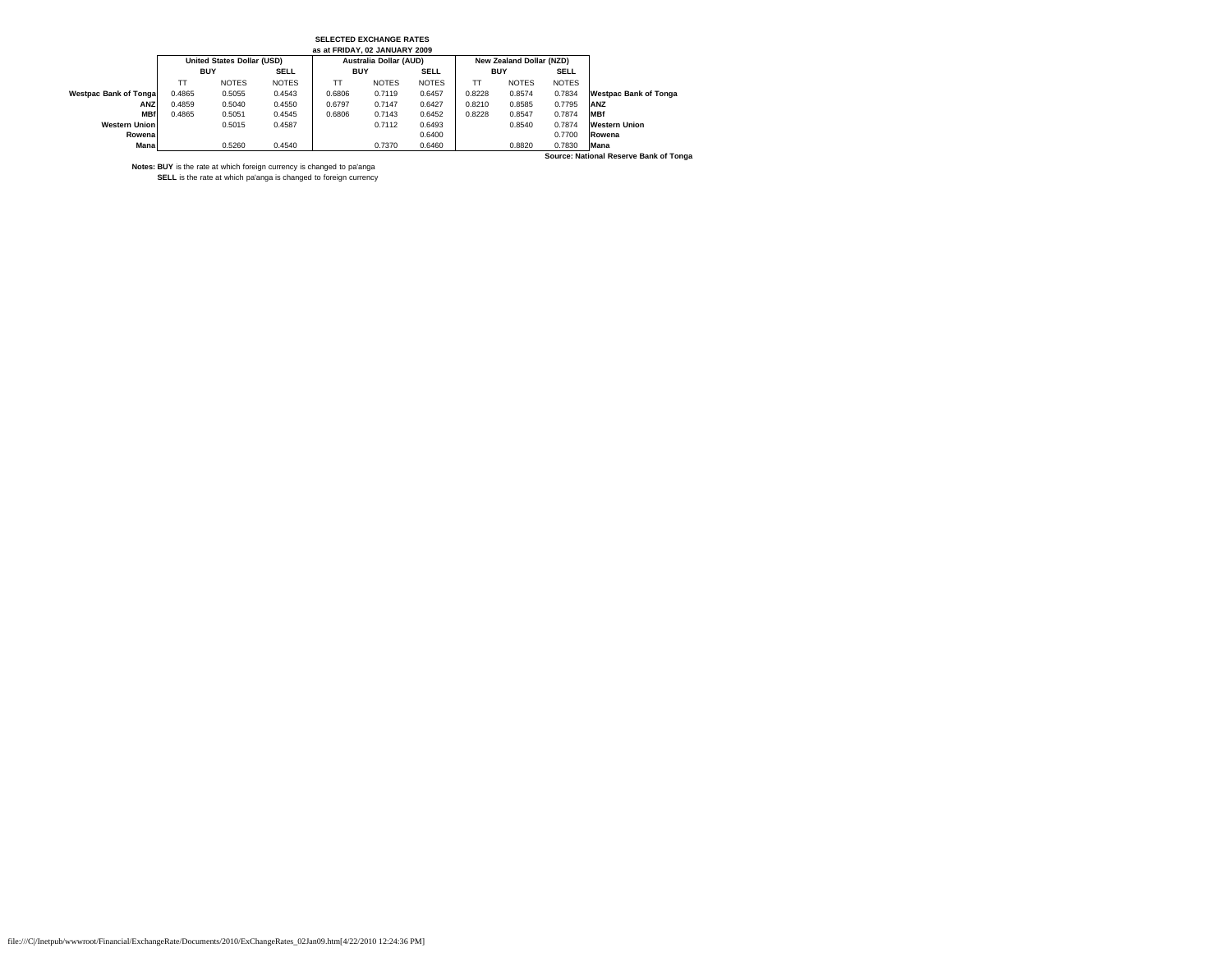| as at FRIDAY, 02 JANUARY 2009          |                                   |              |              |                        |              |              |            |                          |              |                              |  |
|----------------------------------------|-----------------------------------|--------------|--------------|------------------------|--------------|--------------|------------|--------------------------|--------------|------------------------------|--|
|                                        | <b>United States Dollar (USD)</b> |              |              | Australia Dollar (AUD) |              |              |            | New Zealand Dollar (NZD) |              |                              |  |
|                                        | <b>BUY</b>                        |              | <b>SELL</b>  | <b>BUY</b>             |              | <b>SELL</b>  | <b>BUY</b> |                          | <b>SELL</b>  |                              |  |
|                                        | TТ                                | <b>NOTES</b> | <b>NOTES</b> | <b>TT</b>              | <b>NOTES</b> | <b>NOTES</b> | TT         | <b>NOTES</b>             | <b>NOTES</b> |                              |  |
| Westpac Bank of Tonga                  | 0.4865                            | 0.5055       | 0.4543       | 0.6806                 | 0.7119       | 0.6457       | 0.8228     | 0.8574                   | 0.7834       | <b>Westpac Bank of Tonga</b> |  |
| ANZ                                    | 0.4859                            | 0.5040       | 0.4550       | 0.6797                 | 0.7147       | 0.6427       | 0.8210     | 0.8585                   | 0.7795       | ANZ                          |  |
| <b>MBf</b>                             | 0.4865                            | 0.5051       | 0.4545       | 0.6806                 | 0.7143       | 0.6452       | 0.8228     | 0.8547                   | 0.7874       | <b>MBf</b>                   |  |
| <b>Western Union</b>                   |                                   | 0.5015       | 0.4587       |                        | 0.7112       | 0.6493       |            | 0.8540                   | 0.7874       | <b>Western Union</b>         |  |
| Rowenal                                |                                   |              |              |                        |              | 0.6400       |            |                          | 0.7700       | Rowena                       |  |
| Mana                                   |                                   | 0.5260       | 0.4540       |                        | 0.7370       | 0.6460       |            | 0.8820                   | 0.7830       | <b>Mana</b>                  |  |
| Source: National Reserve Bank of Tonga |                                   |              |              |                        |              |              |            |                          |              |                              |  |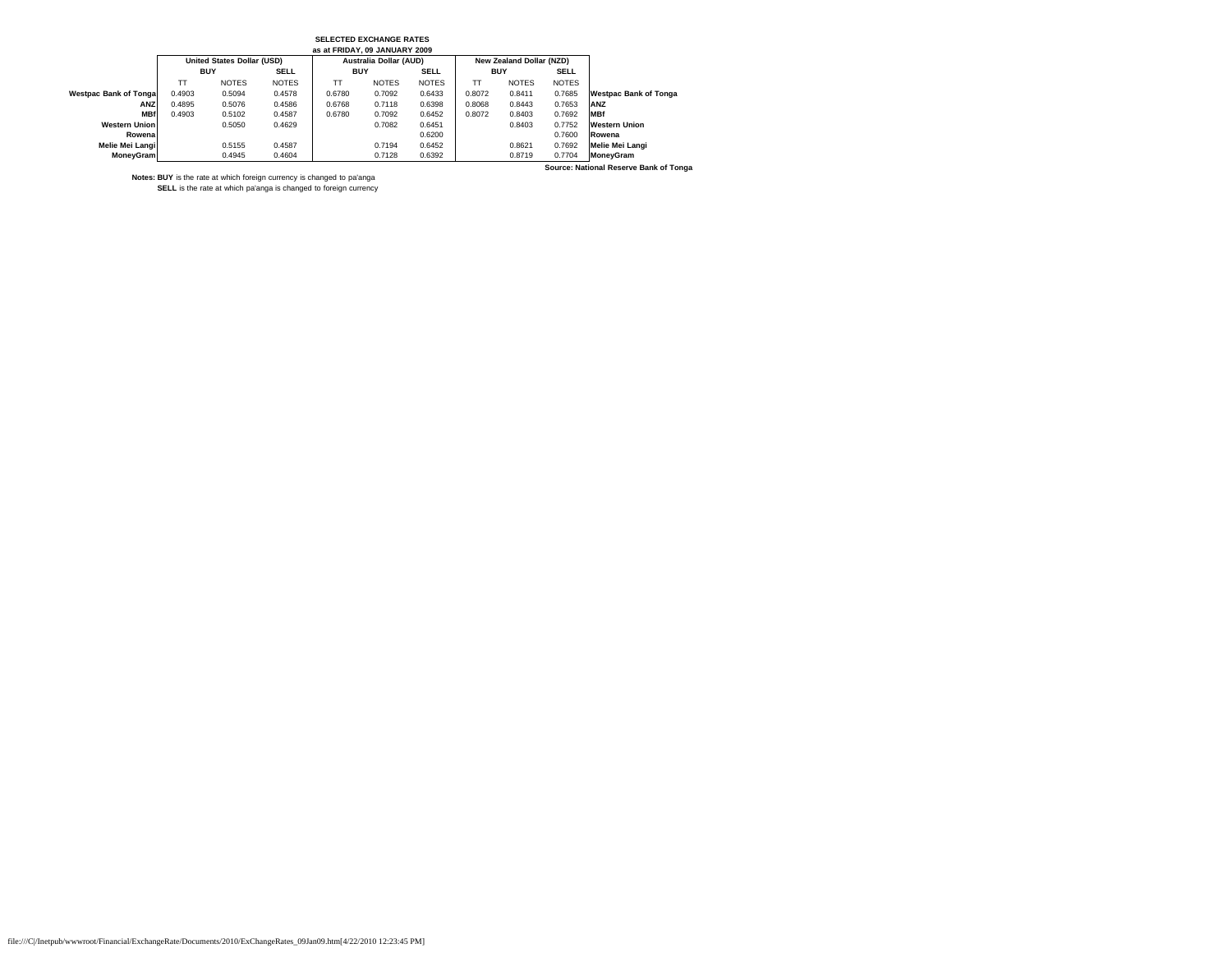| as at FRIDAY, 09 JANUARY 2009 |            |                            |              |                               |              |              |                          |              |              |                              |  |
|-------------------------------|------------|----------------------------|--------------|-------------------------------|--------------|--------------|--------------------------|--------------|--------------|------------------------------|--|
|                               |            | United States Dollar (USD) |              | <b>Australia Dollar (AUD)</b> |              |              | New Zealand Dollar (NZD) |              |              |                              |  |
|                               | <b>BUY</b> |                            | <b>SELL</b>  | <b>BUY</b>                    |              | <b>SELL</b>  | <b>BUY</b>               |              | <b>SELL</b>  |                              |  |
|                               | TТ         | <b>NOTES</b>               | <b>NOTES</b> | TТ                            | <b>NOTES</b> | <b>NOTES</b> | TТ                       | <b>NOTES</b> | <b>NOTES</b> |                              |  |
| <b>Westpac Bank of Tonga</b>  | 0.4903     | 0.5094                     | 0.4578       | 0.6780                        | 0.7092       | 0.6433       | 0.8072                   | 0.8411       | 0.7685       | <b>Westpac Bank of Tonga</b> |  |
| ANZ                           | 0.4895     | 0.5076                     | 0.4586       | 0.6768                        | 0.7118       | 0.6398       | 0.8068                   | 0.8443       | 0.7653       | ANZ                          |  |
| <b>MBf</b>                    | 0.4903     | 0.5102                     | 0.4587       | 0.6780                        | 0.7092       | 0.6452       | 0.8072                   | 0.8403       | 0.7692       | <b>MBf</b>                   |  |
| <b>Western Union</b>          |            | 0.5050                     | 0.4629       |                               | 0.7082       | 0.6451       |                          | 0.8403       | 0.7752       | <b>Western Union</b>         |  |
| Rowena                        |            |                            |              |                               |              | 0.6200       |                          |              | 0.7600       | Rowena                       |  |
| Melie Mei Langi               |            | 0.5155                     | 0.4587       |                               | 0.7194       | 0.6452       |                          | 0.8621       | 0.7692       | Melie Mei Langi              |  |
| MoneyGram                     |            | 0.4945                     | 0.4604       |                               | 0.7128       | 0.6392       |                          | 0.8719       | 0.7704       | <b>MoneyGram</b>             |  |

**Source: National Reserve Bank of Tonga**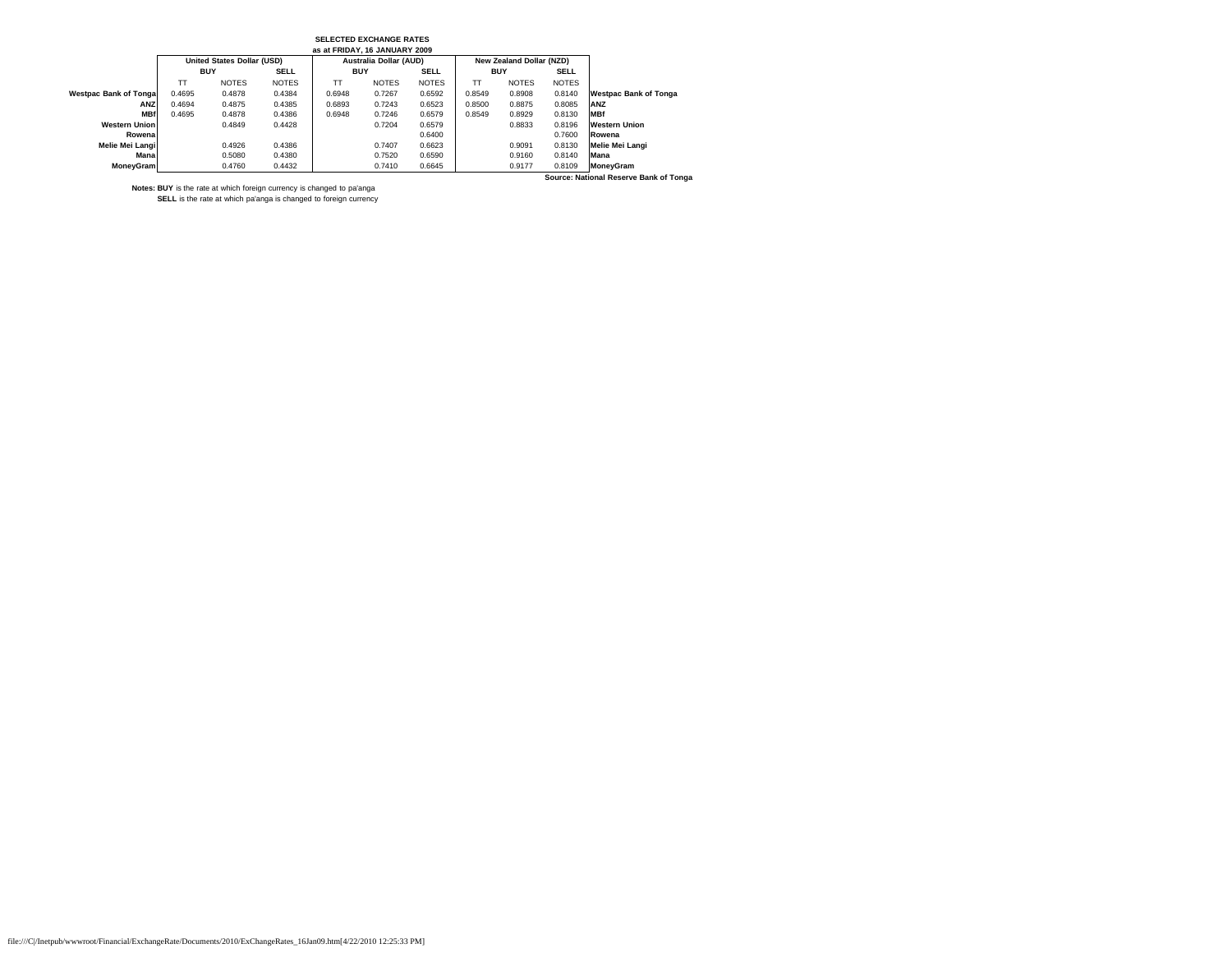|                                        |            |                            |              | as at FRIDAY, 16 JANUARY 2009 |                        |              |            |                          |              |                              |
|----------------------------------------|------------|----------------------------|--------------|-------------------------------|------------------------|--------------|------------|--------------------------|--------------|------------------------------|
|                                        |            | United States Dollar (USD) |              |                               | Australia Dollar (AUD) |              |            | New Zealand Dollar (NZD) |              |                              |
|                                        | <b>BUY</b> |                            | <b>SELL</b>  | <b>BUY</b>                    |                        | <b>SELL</b>  | <b>BUY</b> |                          | <b>SELL</b>  |                              |
|                                        | TT         | <b>NOTES</b>               | <b>NOTES</b> | TT                            | <b>NOTES</b>           | <b>NOTES</b> | TТ         | <b>NOTES</b>             | <b>NOTES</b> |                              |
| <b>Westpac Bank of Tongal</b>          | 0.4695     | 0.4878                     | 0.4384       | 0.6948                        | 0.7267                 | 0.6592       | 0.8549     | 0.8908                   | 0.8140       | <b>Westpac Bank of Tonga</b> |
| ANZ                                    | 0.4694     | 0.4875                     | 0.4385       | 0.6893                        | 0.7243                 | 0.6523       | 0.8500     | 0.8875                   | 0.8085       | <b>ANZ</b>                   |
| <b>MBf</b>                             | 0.4695     | 0.4878                     | 0.4386       | 0.6948                        | 0.7246                 | 0.6579       | 0.8549     | 0.8929                   | 0.8130       | <b>MBf</b>                   |
| <b>Western Union</b>                   |            | 0.4849                     | 0.4428       |                               | 0.7204                 | 0.6579       |            | 0.8833                   | 0.8196       | <b>Western Union</b>         |
| Rowena                                 |            |                            |              |                               |                        | 0.6400       |            |                          | 0.7600       | Rowena                       |
| Melie Mei Langi                        |            | 0.4926                     | 0.4386       |                               | 0.7407                 | 0.6623       |            | 0.9091                   | 0.8130       | Melie Mei Langi              |
| Mana                                   |            | 0.5080                     | 0.4380       |                               | 0.7520                 | 0.6590       |            | 0.9160                   | 0.8140       | <b>Mana</b>                  |
| MoneyGram                              |            | 0.4760                     | 0.4432       |                               | 0.7410                 | 0.6645       |            | 0.9177                   | 0.8109       | MoneyGram                    |
| Source: National Reserve Bank of Tonga |            |                            |              |                               |                        |              |            |                          |              |                              |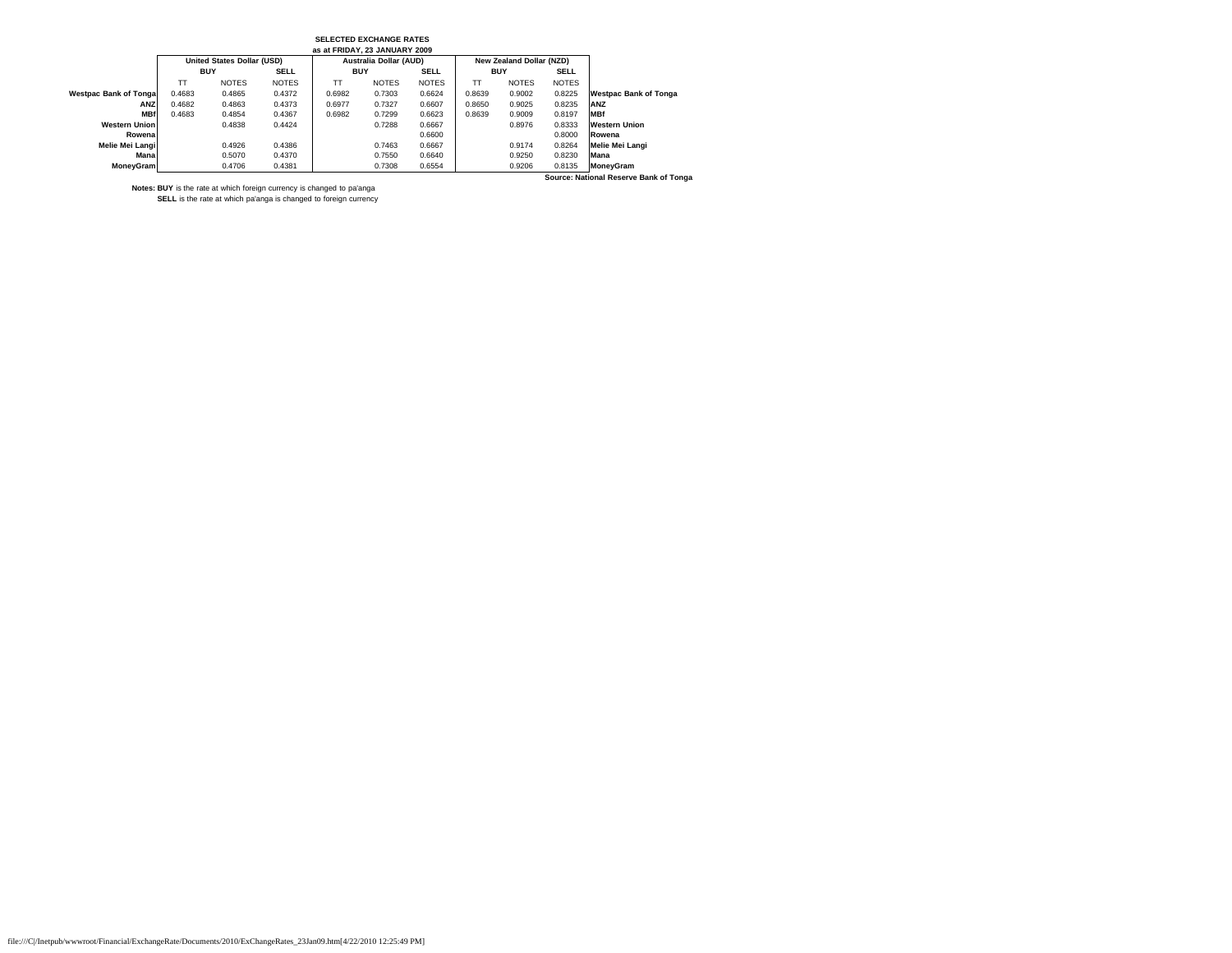|                                        |            |                            |              | as at FRIDAY, 23 JANUARY 2009 |                        |              |            |                          |              |                              |
|----------------------------------------|------------|----------------------------|--------------|-------------------------------|------------------------|--------------|------------|--------------------------|--------------|------------------------------|
|                                        |            | United States Dollar (USD) |              |                               | Australia Dollar (AUD) |              |            | New Zealand Dollar (NZD) |              |                              |
|                                        | <b>BUY</b> |                            | <b>SELL</b>  | <b>BUY</b>                    |                        | <b>SELL</b>  | <b>BUY</b> |                          | <b>SELL</b>  |                              |
|                                        | TΤ         | <b>NOTES</b>               | <b>NOTES</b> | тт                            | <b>NOTES</b>           | <b>NOTES</b> | TT         | <b>NOTES</b>             | <b>NOTES</b> |                              |
| <b>Westpac Bank of Tonga</b>           | 0.4683     | 0.4865                     | 0.4372       | 0.6982                        | 0.7303                 | 0.6624       | 0.8639     | 0.9002                   | 0.8225       | <b>Westpac Bank of Tonga</b> |
| ANZ                                    | 0.4682     | 0.4863                     | 0.4373       | 0.6977                        | 0.7327                 | 0.6607       | 0.8650     | 0.9025                   | 0.8235       | ANZ                          |
| <b>MBf</b>                             | 0.4683     | 0.4854                     | 0.4367       | 0.6982                        | 0.7299                 | 0.6623       | 0.8639     | 0.9009                   | 0.8197       | <b>MBf</b>                   |
| <b>Western Union</b>                   |            | 0.4838                     | 0.4424       |                               | 0.7288                 | 0.6667       |            | 0.8976                   | 0.8333       | <b>Western Union</b>         |
| Rowena                                 |            |                            |              |                               |                        | 0.6600       |            |                          | 0.8000       | Rowena                       |
| Melie Mei Langi                        |            | 0.4926                     | 0.4386       |                               | 0.7463                 | 0.6667       |            | 0.9174                   | 0.8264       | Melie Mei Langi              |
| Mana                                   |            | 0.5070                     | 0.4370       |                               | 0.7550                 | 0.6640       |            | 0.9250                   | 0.8230       | <b>Mana</b>                  |
| MoneyGram                              |            | 0.4706                     | 0.4381       |                               | 0.7308                 | 0.6554       |            | 0.9206                   | 0.8135       | MoneyGram                    |
| Source: National Reserve Bank of Tonga |            |                            |              |                               |                        |              |            |                          |              |                              |